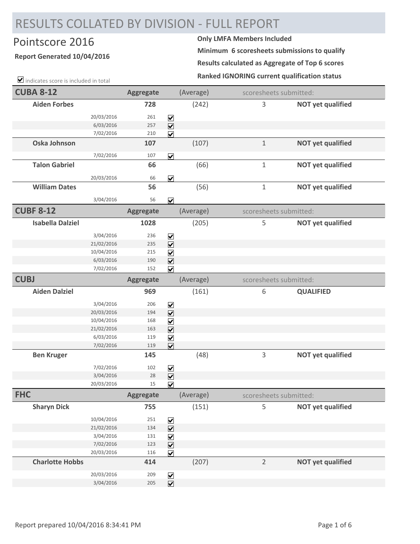## RESULTS COLLATED BY DIVISION ‐ FULL REPORT

## Pointscore 2016 **Only LMFA Members Included**

## **Report Generated 10/04/2016**

 $\blacksquare$  indicates score is included in total

**Minimum 6 scoresheets submissions to qualify**

**Results calculated as Aggregate of Top 6 scores**

**Ranked IGNORING current qualification status**

| <b>CUBA 8-12</b>        |            | Aggregate        |                              | (Average) | scoresheets submitted: |                          |
|-------------------------|------------|------------------|------------------------------|-----------|------------------------|--------------------------|
| <b>Aiden Forbes</b>     |            | 728              |                              | (242)     | 3                      | <b>NOT yet qualified</b> |
|                         | 20/03/2016 | 261              | $\blacktriangledown$         |           |                        |                          |
|                         | 6/03/2016  | 257              | $\overline{\mathbf{v}}$      |           |                        |                          |
|                         | 7/02/2016  | 210              | $\overline{\mathbf{v}}$      |           |                        |                          |
| Oska Johnson            |            | 107              |                              | (107)     | $1\,$                  | <b>NOT yet qualified</b> |
|                         | 7/02/2016  | 107              | $\overline{\mathbf{v}}$      |           |                        |                          |
| <b>Talon Gabriel</b>    |            | 66               |                              | (66)      | $\mathbf{1}$           | <b>NOT yet qualified</b> |
|                         |            |                  |                              |           |                        |                          |
|                         | 20/03/2016 | 66               | $\overline{\mathbf{v}}$      |           |                        |                          |
| <b>William Dates</b>    |            | 56               |                              | (56)      | $\mathbf 1$            | <b>NOT yet qualified</b> |
|                         | 3/04/2016  | 56               | $\overline{\mathbf{v}}$      |           |                        |                          |
| <b>CUBF 8-12</b>        |            | <b>Aggregate</b> |                              | (Average) | scoresheets submitted: |                          |
| <b>Isabella Dalziel</b> |            | 1028             |                              | (205)     | 5                      | <b>NOT yet qualified</b> |
|                         | 3/04/2016  | 236              | $\boxed{\mathbf{v}}$         |           |                        |                          |
|                         | 21/02/2016 | 235              | $\overline{\mathbf{v}}$      |           |                        |                          |
|                         | 10/04/2016 | 215              | $\blacktriangledown$         |           |                        |                          |
|                         | 6/03/2016  | 190              | $\overline{\mathbf{v}}$      |           |                        |                          |
|                         | 7/02/2016  | 152              | $\overline{\mathbf{v}}$      |           |                        |                          |
| <b>CUBJ</b>             |            | <b>Aggregate</b> |                              | (Average) | scoresheets submitted: |                          |
| <b>Aiden Dalziel</b>    |            | 969              |                              | (161)     | 6                      | <b>QUALIFIED</b>         |
|                         | 3/04/2016  | 206              | $\boxed{\blacktriangledown}$ |           |                        |                          |
|                         | 20/03/2016 | 194              | $\overline{\mathbf{V}}$      |           |                        |                          |
|                         | 10/04/2016 | 168              | $\blacktriangledown$         |           |                        |                          |
|                         | 21/02/2016 | 163              | $\overline{\mathbf{v}}$      |           |                        |                          |
|                         | 6/03/2016  | 119              | $\blacktriangledown$         |           |                        |                          |
|                         | 7/02/2016  | 119              | $\overline{\mathbf{v}}$      |           |                        |                          |
| <b>Ben Kruger</b>       |            | 145              |                              | (48)      | 3                      | <b>NOT yet qualified</b> |
|                         | 7/02/2016  | 102              | $\blacktriangledown$         |           |                        |                          |
|                         | 3/04/2016  | 28               | $\overline{\mathbf{v}}$      |           |                        |                          |
|                         | 20/03/2016 | 15               | $\overline{\mathbf{v}}$      |           |                        |                          |
| <b>FHC</b>              |            | <b>Aggregate</b> |                              | (Average) | scoresheets submitted: |                          |
| <b>Sharyn Dick</b>      |            | 755              |                              | (151)     | 5                      | <b>NOT yet qualified</b> |
|                         | 10/04/2016 | 251              | $\blacktriangledown$         |           |                        |                          |
|                         | 21/02/2016 | 134              | $\overline{\mathbf{v}}$      |           |                        |                          |
|                         | 3/04/2016  | 131              | $\overline{\mathbf{v}}$      |           |                        |                          |
|                         | 7/02/2016  | 123              | $\overline{\mathbf{v}}$      |           |                        |                          |
|                         | 20/03/2016 | 116              | $\overline{\mathbf{v}}$      |           |                        |                          |
| <b>Charlotte Hobbs</b>  |            | 414              |                              | (207)     | $\overline{2}$         | <b>NOT yet qualified</b> |
|                         | 20/03/2016 | 209              | $\blacktriangledown$         |           |                        |                          |
|                         | 3/04/2016  | 205              | $\overline{\mathbf{v}}$      |           |                        |                          |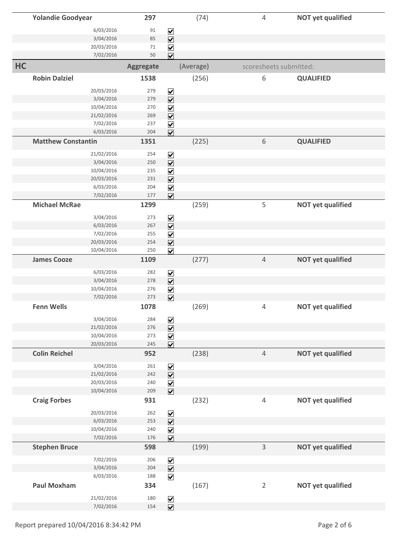|    | <b>Yolandie Goodyear</b>  |                          | 297        |                                                    | (74)      | 4              |                        | <b>NOT yet qualified</b> |
|----|---------------------------|--------------------------|------------|----------------------------------------------------|-----------|----------------|------------------------|--------------------------|
|    |                           |                          |            |                                                    |           |                |                        |                          |
|    |                           | 6/03/2016<br>3/04/2016   | 91<br>85   | $\blacktriangledown$                               |           |                |                        |                          |
|    |                           | 20/03/2016               | 71         | $\overline{\mathbf{v}}$                            |           |                |                        |                          |
|    |                           | 7/02/2016                | 50         | $\blacktriangledown$<br>$\overline{\mathbf{v}}$    |           |                |                        |                          |
|    |                           |                          |            |                                                    |           |                |                        |                          |
| HC |                           |                          | Aggregate  |                                                    | (Average) |                | scoresheets submitted: |                          |
|    | <b>Robin Dalziel</b>      |                          | 1538       |                                                    | (256)     | 6              |                        | <b>QUALIFIED</b>         |
|    |                           | 20/03/2016               | 279        | $\blacktriangledown$                               |           |                |                        |                          |
|    |                           | 3/04/2016                | 279        | $\overline{\mathbf{v}}$                            |           |                |                        |                          |
|    |                           | 10/04/2016               | 270        | $\blacktriangledown$                               |           |                |                        |                          |
|    |                           | 21/02/2016               | 269        | $\overline{\mathbf{v}}$                            |           |                |                        |                          |
|    |                           | 7/02/2016                | 237        | $\overline{\mathbf{v}}$                            |           |                |                        |                          |
|    |                           | 6/03/2016                | 204        | $\overline{\mathbf{v}}$                            |           |                |                        |                          |
|    | <b>Matthew Constantin</b> |                          | 1351       |                                                    | (225)     | 6              |                        | <b>QUALIFIED</b>         |
|    |                           | 21/02/2016               | 254        | $\overline{\mathbf{v}}$                            |           |                |                        |                          |
|    |                           | 3/04/2016                | 250        | $\overline{\mathbf{v}}$                            |           |                |                        |                          |
|    |                           | 10/04/2016               | 235        | $\overline{\mathbf{v}}$                            |           |                |                        |                          |
|    |                           | 20/03/2016               | 231        | $\overline{\mathbf{v}}$                            |           |                |                        |                          |
|    |                           | 6/03/2016                | 204        | $\boxed{\blacktriangledown}$                       |           |                |                        |                          |
|    |                           | 7/02/2016                | 177        | $\overline{\mathbf{v}}$                            |           |                |                        |                          |
|    | <b>Michael McRae</b>      |                          | 1299       |                                                    | (259)     | 5              |                        | <b>NOT yet qualified</b> |
|    |                           |                          |            |                                                    |           |                |                        |                          |
|    |                           | 3/04/2016                | 273        | $\blacktriangledown$                               |           |                |                        |                          |
|    |                           | 6/03/2016                | 267        | $\overline{\mathbf{v}}$                            |           |                |                        |                          |
|    |                           | 7/02/2016                | 255        | $\blacktriangledown$                               |           |                |                        |                          |
|    |                           | 20/03/2016               | 254        | $\overline{\mathbf{V}}$                            |           |                |                        |                          |
|    |                           | 10/04/2016               | 250        | $\overline{\mathbf{v}}$                            |           |                |                        |                          |
|    | <b>James Cooze</b>        |                          | 1109       |                                                    | (277)     | $\overline{4}$ |                        | <b>NOT yet qualified</b> |
|    |                           | 6/03/2016                | 282        | $\blacktriangledown$                               |           |                |                        |                          |
|    |                           | 3/04/2016                | 278        | $\boxed{\blacktriangledown}$                       |           |                |                        |                          |
|    |                           | 10/04/2016               | 276        | $\blacktriangledown$                               |           |                |                        |                          |
|    |                           | 7/02/2016                | 273        | $\overline{\mathbf{v}}$                            |           |                |                        |                          |
|    | <b>Fenn Wells</b>         |                          | 1078       |                                                    | (269)     | 4              |                        | <b>NOT yet qualified</b> |
|    |                           |                          |            |                                                    |           |                |                        |                          |
|    |                           | 3/04/2016                | 284        | $\boxed{\checkmark}$                               |           |                |                        |                          |
|    |                           | 21/02/2016<br>10/04/2016 | 276        | $\overline{\mathbf{v}}$                            |           |                |                        |                          |
|    |                           | 20/03/2016               | 273<br>245 | $\overline{\mathbf{v}}$<br>$\overline{\mathbf{v}}$ |           |                |                        |                          |
|    |                           |                          |            |                                                    |           |                |                        |                          |
|    | <b>Colin Reichel</b>      |                          | 952        |                                                    | (238)     | $\overline{4}$ |                        | <b>NOT yet qualified</b> |
|    |                           | 3/04/2016                | 261        | $\blacktriangledown$                               |           |                |                        |                          |
|    |                           | 21/02/2016               | 242        | $\overline{\mathbf{v}}$                            |           |                |                        |                          |
|    |                           | 20/03/2016               | 240        | $\blacktriangledown$                               |           |                |                        |                          |
|    |                           | 10/04/2016               | 209        | $\overline{\mathbf{v}}$                            |           |                |                        |                          |
|    | <b>Craig Forbes</b>       |                          | 931        |                                                    | (232)     | $\sqrt{4}$     |                        | <b>NOT yet qualified</b> |
|    |                           | 20/03/2016               | 262        |                                                    |           |                |                        |                          |
|    |                           | 6/03/2016                | 253        | $\blacktriangledown$                               |           |                |                        |                          |
|    |                           | 10/04/2016               | 240        | $\overline{\mathbf{v}}$                            |           |                |                        |                          |
|    |                           | 7/02/2016                | 176        | $\triangledown$<br>$\overline{\mathbf{v}}$         |           |                |                        |                          |
|    | <b>Stephen Bruce</b>      |                          | 598        |                                                    | (199)     | $\mathsf 3$    |                        | <b>NOT yet qualified</b> |
|    |                           |                          |            |                                                    |           |                |                        |                          |
|    |                           | 7/02/2016                | 206        | $\triangledown$                                    |           |                |                        |                          |
|    |                           | 3/04/2016                | 204        | $\overline{\mathbf{v}}$                            |           |                |                        |                          |
|    |                           | 6/03/2016                | 188        | $\overline{\mathbf{v}}$                            |           |                |                        |                          |
|    | <b>Paul Moxham</b>        |                          | 334        |                                                    | (167)     | $\overline{2}$ |                        | <b>NOT yet qualified</b> |
|    |                           | 21/02/2016               | 180        |                                                    |           |                |                        |                          |
|    |                           | 7/02/2016                | 154        | $\blacktriangledown$<br>$\overline{\mathbf{v}}$    |           |                |                        |                          |
|    |                           |                          |            |                                                    |           |                |                        |                          |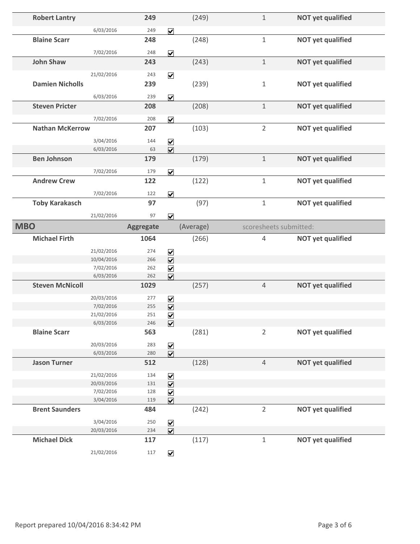| <b>Robert Lantry</b>   |                          | 249              |                                                         | (249)     | $\mathbf 1$    | <b>NOT yet qualified</b> |  |
|------------------------|--------------------------|------------------|---------------------------------------------------------|-----------|----------------|--------------------------|--|
|                        | 6/03/2016                | 249              | $\overline{\mathbf{v}}$                                 |           |                |                          |  |
| <b>Blaine Scarr</b>    |                          | 248              |                                                         | (248)     | $1\,$          | <b>NOT yet qualified</b> |  |
|                        |                          |                  |                                                         |           |                |                          |  |
|                        | 7/02/2016                | 248              | $\overline{\mathbf{v}}$                                 |           |                |                          |  |
| <b>John Shaw</b>       |                          | 243              |                                                         | (243)     | $\mathbf{1}$   | <b>NOT yet qualified</b> |  |
|                        | 21/02/2016               | 243              | $\overline{\mathbf{v}}$                                 |           |                |                          |  |
| <b>Damien Nicholls</b> |                          | 239              |                                                         | (239)     | $\mathbf 1$    | <b>NOT yet qualified</b> |  |
|                        | 6/03/2016                | 239              |                                                         |           |                |                          |  |
| <b>Steven Pricter</b>  |                          | 208              | $\overline{\mathbf{v}}$                                 | (208)     | $1\,$          | <b>NOT yet qualified</b> |  |
|                        |                          |                  |                                                         |           |                |                          |  |
|                        | 7/02/2016                | 208              | $\overline{\mathbf{v}}$                                 |           |                |                          |  |
| <b>Nathan McKerrow</b> |                          | 207              |                                                         | (103)     | $\overline{2}$ | <b>NOT yet qualified</b> |  |
|                        | 3/04/2016                | 144              | $\overline{\mathbf{v}}$                                 |           |                |                          |  |
|                        | 6/03/2016                | 63               | $\overline{\mathbf{v}}$                                 |           |                |                          |  |
| <b>Ben Johnson</b>     |                          | 179              |                                                         | (179)     | $\mathbf 1$    | <b>NOT yet qualified</b> |  |
|                        | 7/02/2016                | 179              | $\overline{\mathbf{v}}$                                 |           |                |                          |  |
| <b>Andrew Crew</b>     |                          | 122              |                                                         | (122)     | $\mathbf 1$    | <b>NOT yet qualified</b> |  |
|                        |                          |                  |                                                         |           |                |                          |  |
|                        | 7/02/2016                | 122              | $\overline{\mathbf{v}}$                                 |           |                |                          |  |
| <b>Toby Karakasch</b>  |                          | 97               |                                                         | (97)      | $\,1\,$        | <b>NOT yet qualified</b> |  |
|                        | 21/02/2016               | 97               | $\overline{\mathbf{v}}$                                 |           |                |                          |  |
| <b>MBO</b>             |                          | <b>Aggregate</b> |                                                         | (Average) |                | scoresheets submitted:   |  |
|                        |                          |                  |                                                         |           |                |                          |  |
| <b>Michael Firth</b>   |                          | 1064             |                                                         | (266)     | 4              | <b>NOT yet qualified</b> |  |
|                        |                          | 274              |                                                         |           |                |                          |  |
|                        | 21/02/2016<br>10/04/2016 | 266              | $\blacktriangledown$                                    |           |                |                          |  |
|                        | 7/02/2016                | 262              | $\overline{\mathbf{v}}$                                 |           |                |                          |  |
|                        | 6/03/2016                | 262              | $\blacktriangledown$<br>$\overline{\mathbf{v}}$         |           |                |                          |  |
| <b>Steven McNicoll</b> |                          | 1029             |                                                         | (257)     | $\overline{4}$ | <b>NOT yet qualified</b> |  |
|                        | 20/03/2016               | 277              |                                                         |           |                |                          |  |
|                        | 7/02/2016                | 255              | $\triangledown$<br>$\overline{\mathbf{v}}$              |           |                |                          |  |
|                        | 21/02/2016               | 251              | $\overline{\mathbf{v}}$                                 |           |                |                          |  |
|                        | 6/03/2016                | 246              | $\overline{\mathbf{v}}$                                 |           |                |                          |  |
| <b>Blaine Scarr</b>    |                          | 563              |                                                         | (281)     | $\overline{2}$ | <b>NOT yet qualified</b> |  |
|                        | 20/03/2016               | 283              |                                                         |           |                |                          |  |
|                        | 6/03/2016                | 280              | $\boxed{\blacktriangledown}$<br>$\overline{\mathbf{v}}$ |           |                |                          |  |
| <b>Jason Turner</b>    |                          | 512              |                                                         | (128)     | $\sqrt{4}$     | <b>NOT yet qualified</b> |  |
|                        | 21/02/2016               | 134              |                                                         |           |                |                          |  |
|                        | 20/03/2016               | 131              | $\blacktriangledown$<br>$\boxed{\blacktriangledown}$    |           |                |                          |  |
|                        | 7/02/2016                | 128              | $\overline{\mathbf{v}}$                                 |           |                |                          |  |
|                        | 3/04/2016                | 119              | $\overline{\mathbf{v}}$                                 |           |                |                          |  |
| <b>Brent Saunders</b>  |                          | 484              |                                                         | (242)     | $\overline{2}$ | <b>NOT yet qualified</b> |  |
|                        | 3/04/2016                | 250              | $\blacktriangledown$                                    |           |                |                          |  |
|                        | 20/03/2016               | 234              | $\overline{\mathbf{v}}$                                 |           |                |                          |  |
| <b>Michael Dick</b>    |                          | 117              |                                                         | (117)     | $\mathbf 1$    | <b>NOT yet qualified</b> |  |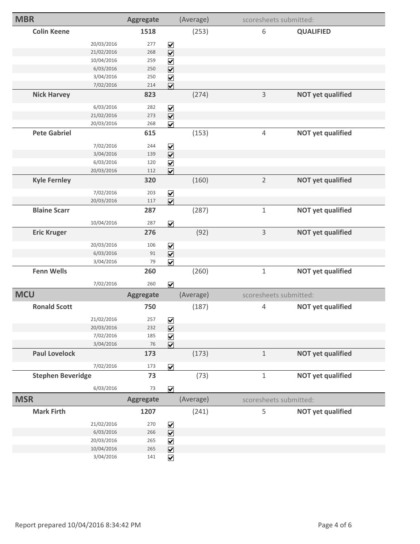| <b>MBR</b>               |            | <b>Aggregate</b> |                              | (Average) |                | scoresheets submitted:   |
|--------------------------|------------|------------------|------------------------------|-----------|----------------|--------------------------|
| <b>Colin Keene</b>       |            | 1518             |                              | (253)     | 6              | <b>QUALIFIED</b>         |
|                          | 20/03/2016 | 277              | $\blacktriangledown$         |           |                |                          |
|                          | 21/02/2016 | 268              | $\overline{\mathbf{v}}$      |           |                |                          |
|                          | 10/04/2016 | 259              | $\blacktriangledown$         |           |                |                          |
|                          | 6/03/2016  | 250              | $\overline{\mathbf{v}}$      |           |                |                          |
|                          | 3/04/2016  | 250              | $\blacktriangledown$         |           |                |                          |
|                          | 7/02/2016  | 214              | $\overline{\mathbf{v}}$      |           |                |                          |
| <b>Nick Harvey</b>       |            | 823              |                              | (274)     | 3              | <b>NOT yet qualified</b> |
|                          | 6/03/2016  | 282              | $\blacktriangledown$         |           |                |                          |
|                          | 21/02/2016 | 273              | $\overline{\mathbf{v}}$      |           |                |                          |
|                          | 20/03/2016 | 268              | $\overline{\mathbf{v}}$      |           |                |                          |
| <b>Pete Gabriel</b>      |            | 615              |                              | (153)     | 4              | <b>NOT yet qualified</b> |
|                          | 7/02/2016  | 244              | $\overline{\mathbf{V}}$      |           |                |                          |
|                          | 3/04/2016  | 139              | $\overline{\mathbf{V}}$      |           |                |                          |
|                          | 6/03/2016  | 120              | $\boxed{\blacktriangledown}$ |           |                |                          |
|                          | 20/03/2016 | 112              | $\overline{\mathbf{v}}$      |           |                |                          |
| <b>Kyle Fernley</b>      |            | 320              |                              | (160)     | $\overline{2}$ | <b>NOT yet qualified</b> |
|                          | 7/02/2016  | 203              | $\boxed{\mathbf{v}}$         |           |                |                          |
|                          | 20/03/2016 | 117              | $\overline{\mathbf{v}}$      |           |                |                          |
| <b>Blaine Scarr</b>      |            | 287              |                              | (287)     | $\mathbf 1$    | <b>NOT yet qualified</b> |
|                          | 10/04/2016 | 287              | $\overline{\mathbf{v}}$      |           |                |                          |
| <b>Eric Kruger</b>       |            | 276              |                              | (92)      | 3              | <b>NOT yet qualified</b> |
|                          | 20/03/2016 | 106              | $\blacktriangledown$         |           |                |                          |
|                          | 6/03/2016  | 91               | $\overline{\mathbf{v}}$      |           |                |                          |
|                          | 3/04/2016  | 79               | $\overline{\mathbf{v}}$      |           |                |                          |
| <b>Fenn Wells</b>        |            | 260              |                              | (260)     | $\mathbf{1}$   | <b>NOT yet qualified</b> |
|                          | 7/02/2016  | 260              | $\overline{\mathbf{v}}$      |           |                |                          |
| <b>MCU</b>               |            | <b>Aggregate</b> |                              | (Average) |                | scoresheets submitted:   |
| <b>Ronald Scott</b>      |            | 750              |                              | (187)     | 4              | <b>NOT yet qualified</b> |
|                          | 21/02/2016 | 257              | $\blacktriangledown$         |           |                |                          |
|                          | 20/03/2016 | 232              | $\boxed{\blacktriangledown}$ |           |                |                          |
|                          | 7/02/2016  | 185              | $\blacktriangledown$         |           |                |                          |
|                          | 3/04/2016  | 76               | $\overline{\mathbf{v}}$      |           |                |                          |
| <b>Paul Lovelock</b>     |            | 173              |                              | (173)     | $\,1\,$        | <b>NOT yet qualified</b> |
|                          | 7/02/2016  | 173              | $\overline{\mathbf{v}}$      |           |                |                          |
| <b>Stephen Beveridge</b> |            | 73               |                              | (73)      | $1\,$          | <b>NOT yet qualified</b> |
|                          | 6/03/2016  | 73               | $\overline{\mathbf{v}}$      |           |                |                          |
| <b>MSR</b>               |            | <b>Aggregate</b> |                              | (Average) |                | scoresheets submitted:   |
| <b>Mark Firth</b>        |            | 1207             |                              | (241)     | 5              | <b>NOT yet qualified</b> |
|                          | 21/02/2016 | 270              | $\boxed{\blacktriangledown}$ |           |                |                          |
|                          | 6/03/2016  | 266              | $\overline{\mathbf{v}}$      |           |                |                          |
|                          | 20/03/2016 | 265              | $\blacktriangledown$         |           |                |                          |
|                          | 10/04/2016 | 265              | $\overline{\mathbf{v}}$      |           |                |                          |
|                          | 3/04/2016  | 141              | $\boxed{\blacktriangledown}$ |           |                |                          |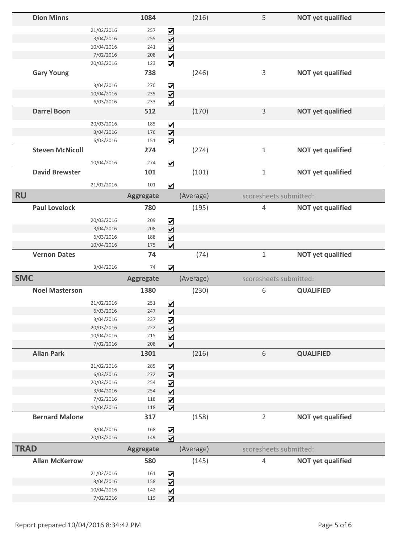|             | <b>Dion Minns</b>      |                          | 1084             |                                                                       | (216)     | 5                      | <b>NOT yet qualified</b> |
|-------------|------------------------|--------------------------|------------------|-----------------------------------------------------------------------|-----------|------------------------|--------------------------|
|             |                        | 21/02/2016               | 257              | $\overline{\mathbf{v}}$                                               |           |                        |                          |
|             |                        | 3/04/2016                | 255              | $\overline{\mathbf{v}}$                                               |           |                        |                          |
|             |                        | 10/04/2016               | 241              | $\boxed{\mathbf{v}}$                                                  |           |                        |                          |
|             |                        | 7/02/2016                | 208              | $\overline{\mathbf{v}}$                                               |           |                        |                          |
|             |                        | 20/03/2016               | 123              | $\overline{\mathbf{v}}$                                               |           |                        |                          |
|             | <b>Gary Young</b>      |                          | 738              |                                                                       | (246)     | 3                      | <b>NOT yet qualified</b> |
|             |                        | 3/04/2016                | 270              | $\blacktriangledown$                                                  |           |                        |                          |
|             |                        | 10/04/2016               | 235              | $\overline{\mathbf{v}}$                                               |           |                        |                          |
|             |                        | 6/03/2016                | 233              | $\overline{\mathbf{v}}$                                               |           |                        |                          |
|             | <b>Darrel Boon</b>     |                          | 512              |                                                                       | (170)     | 3                      | <b>NOT yet qualified</b> |
|             |                        | 20/03/2016<br>3/04/2016  | 185<br>176       | $\blacktriangledown$                                                  |           |                        |                          |
|             |                        | 6/03/2016                | 151              | $\overline{\mathbf{v}}$<br>$\overline{\mathbf{v}}$                    |           |                        |                          |
|             | <b>Steven McNicoll</b> |                          | 274              |                                                                       | (274)     | $\mathbf{1}$           | <b>NOT yet qualified</b> |
|             |                        |                          |                  |                                                                       |           |                        |                          |
|             |                        | 10/04/2016               | 274              | $\overline{\mathbf{v}}$                                               |           |                        |                          |
|             | <b>David Brewster</b>  |                          | 101              |                                                                       | (101)     | $\mathbf 1$            | <b>NOT yet qualified</b> |
|             |                        | 21/02/2016               | 101              | $\overline{\mathbf{v}}$                                               |           |                        |                          |
| <b>RU</b>   |                        |                          | <b>Aggregate</b> |                                                                       | (Average) | scoresheets submitted: |                          |
|             | <b>Paul Lovelock</b>   |                          | 780              |                                                                       | (195)     | 4                      | <b>NOT yet qualified</b> |
|             |                        | 20/03/2016               | 209              | $\blacktriangledown$                                                  |           |                        |                          |
|             |                        | 3/04/2016                | 208              | $\overline{\mathbf{v}}$                                               |           |                        |                          |
|             |                        | 6/03/2016                | 188              | $\blacktriangledown$                                                  |           |                        |                          |
|             |                        | 10/04/2016               | 175              | $\overline{\mathbf{v}}$                                               |           |                        |                          |
|             | <b>Vernon Dates</b>    |                          | 74               |                                                                       | (74)      | $1\,$                  | <b>NOT yet qualified</b> |
|             |                        | 3/04/2016                | 74               | $\overline{\mathbf{v}}$                                               |           |                        |                          |
| <b>SMC</b>  |                        |                          | <b>Aggregate</b> |                                                                       | (Average) | scoresheets submitted: |                          |
|             | <b>Noel Masterson</b>  |                          | 1380             |                                                                       | (230)     | 6                      | <b>QUALIFIED</b>         |
|             |                        |                          |                  |                                                                       |           |                        |                          |
|             |                        |                          |                  |                                                                       |           |                        |                          |
|             |                        | 21/02/2016               | 251              |                                                                       |           |                        |                          |
|             |                        | 6/03/2016                | 247              | $\overline{\underline{\mathsf{S}}}\underline{\underline{\mathsf{K}}}$ |           |                        |                          |
|             |                        | 3/04/2016                | 237              | $\blacktriangledown$                                                  |           |                        |                          |
|             |                        | 20/03/2016<br>10/04/2016 | 222<br>215       | $\boxed{\blacktriangledown}$                                          |           |                        |                          |
|             |                        | 7/02/2016                | 208              | $\blacktriangledown$                                                  |           |                        |                          |
|             | <b>Allan Park</b>      |                          | 1301             | $\overline{\mathbf{v}}$                                               | (216)     | 6                      | <b>QUALIFIED</b>         |
|             |                        | 21/02/2016               | 285              | $\blacktriangledown$                                                  |           |                        |                          |
|             |                        | 6/03/2016                | 272              | $\overline{\mathbf{v}}$                                               |           |                        |                          |
|             |                        | 20/03/2016               | 254              | $\blacktriangledown$                                                  |           |                        |                          |
|             |                        | 3/04/2016                | 254              | $\overline{\mathbf{v}}$                                               |           |                        |                          |
|             |                        | 7/02/2016                | 118              | $\blacktriangledown$                                                  |           |                        |                          |
|             |                        | 10/04/2016               | 118              | $\overline{\mathbf{v}}$                                               |           |                        |                          |
|             | <b>Bernard Malone</b>  |                          | 317              |                                                                       | (158)     | $\overline{2}$         | <b>NOT yet qualified</b> |
|             |                        | 3/04/2016                | 168              |                                                                       |           |                        |                          |
|             |                        | 20/03/2016               | 149              | $\overline{\underline{\mathsf{S}}}\underline{\underline{\mathsf{K}}}$ |           |                        |                          |
| <b>TRAD</b> |                        |                          | <b>Aggregate</b> |                                                                       | (Average) | scoresheets submitted: |                          |
|             | <b>Allan McKerrow</b>  |                          | 580              |                                                                       | (145)     | 4                      | <b>NOT yet qualified</b> |
|             |                        | 21/02/2016               | 161              | $\boxed{\blacktriangledown}$                                          |           |                        |                          |
|             |                        | 3/04/2016                | 158              | $\overline{\mathbf{v}}$                                               |           |                        |                          |
|             |                        | 10/04/2016<br>7/02/2016  | 142<br>119       | $\boxed{\blacktriangledown}$<br>$\overline{\mathbf{v}}$               |           |                        |                          |